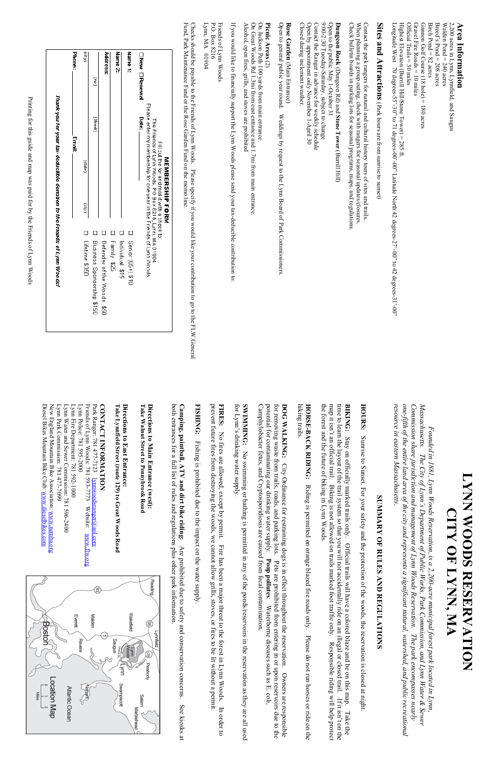Highest Elevation (Burrill Hill/Stone Tower) = 285 ft.<br>Longitude West 70 degrees-55'-30'' to 71 degrees-00'-00'' Latitude North 42 degrees-27'-00'' to 42 degrees-31'-00'' Birch Pond =  $82$  acres 2,200 acres in Lynn, Lynnfield, and Saugus Longitude West 70 degrees-55'-30" to 71 degrees-00"-00" Latitude North 42 degrees-27'-00" to 42 degrees-31'-00" Highest Elevation (Burrill Hill/Stone Tower) = 285 ft.  $Official$  Trails = 30 miles Official Trails = 30 miles Gravel Fire Roads =  $10$  miles Gravel Fire Roads = 10 miles Gannon Golf Course  $(18 \text{ hole}) = 180 \text{ acres}$ Gannon Golf Course  $(18 \text{ hole}) = 180 \text{ acres}$ Birch Pond = 82 acres Breed's Pond  $= 208$  acres Breed's Pond = 208 acres Walden Pond =  $240$  acres Walden Pond = 240 acres 2,200 acres in Lynn, Lynnfield, and Saugus

### **Area Information Area Information**

# Sites and Attractions (Park hours are from sunrise to sunset) **Sites and Attractions**  (Park hours are from sunrise to sunset)

Check bulletin boards in parking lots for seasonal programs, maps, and regulations. When planning a group outing, check with rangers for seasonal updates/closures. Contact the park rangers for natural and cultural history tours of sites and trails. Check bulletin boards in parking lots for seasonal programs, maps, and regulations. When planning a group outing, check with Contact the park rangers for natural and cultural history tours of sites and trails. rangers for seasonal updates/closures.

Open by appointment only November 1-April 30 Contact the Ranger in advance for weekly schedule 9:00-2:30 Tuesday-Saturday, subject to change Open to the public May 1-October 31 Open by appointment only November 1-April 30 Contact the Ranger in advance for weekly schedule 9:00-2:30 Tuesday-Saturd Open to the public May 1-October 31 Dungeon Rock (Dungeon Rd) and Stone Tower (Burrill Hill) **Dungeon Rock** (Dungeon Rd) and ay, subject to change **Stone Tower**(Burrill Hill)

Closed during inclement weather. **Rose Garden** Closed during inclement weather.

Open to general public year round. Weddings by request to the Lynn Board of Park Commissioners. Rose Garden (Main Entrance) Open to general public year round. Weddings by request to the Lynn Board of Park Commissioners. (Main Entrance)

#### **Picnic Areas** Picnic Areas (2)

On Jackson Path 100 yards from main entrance Alcohol, open fires, grills, and stoves are prohibited Alcohol, open fires, grills, and stoves are prohibited On Great Woods Rd 1.3mi from east entrance and 1.7mi from main entrance. On Great Woods Rd 1.3mi from east entr On Jackson Path 100 yards from main entrance. ance and 1.7mi from main entrance.

Lynn, MA 01904 Lynn, MA 01904 P.O. Box 8216 P.O. Box 8216 Friends of Lynn Woods Friends of Lynn Woods

Fund, Park Maintenance Fund or the Rose Garden Fund on the memo line Checks should be payable to the Friends of Lynn Woods. Please specify if you would like your contribution to go to the FLW General Fund, Park Maintenance Fund or the Rose Garden Fund on the memo line.  $\rm C$ hecks should be payable to the Friends of Lynn Woods. Please specify if you would like your contribution to go to the FLM  $\rm C$  denotes  $\rm C$ 

|                                                                                         | <b>Email:</b>                                                                                           | <b>Phone:</b>       |
|-----------------------------------------------------------------------------------------|---------------------------------------------------------------------------------------------------------|---------------------|
| (diz)<br>$\Box$<br>Lifetime \$350                                                       | (apers)                                                                                                 | (A4io)              |
| Business Sponsorship \$150                                                              | (Street)                                                                                                | g                   |
| Derender of the Woods \$50                                                              |                                                                                                         | Address:            |
| $\Box$<br>Family \$25                                                                   |                                                                                                         | Name <sub>2</sub> : |
| Individual \$15                                                                         |                                                                                                         |                     |
| П<br><b>Senior (65+) \$10</b>                                                           |                                                                                                         | Name <sub>1</sub> : |
|                                                                                         | <b>Date:</b>                                                                                            | □ New □ Renewal     |
| Please enter my membership for one year in the Friends of Lynn Woods<br>MEMBERSHIP FORM | The Friends of Lynn Woods, PO Box 8216, Lynn, MA 01904<br>Fill out the for and mail it with a check to: |                     |

If you would like to financially support the Lynn Woods please send your tax-deducible contribution to: If you would like to financially support the Lynn Woods please send your tax-deducible contribution to:

Printing for this guide and map was paid for by the Friends of Lynn Woods Printing for this guide and map was paid for by the Friends of Lynn Woods

### **LYNN WOODS RESERVATION**  NOILVANSEN SCOOM NNATION **CITY OF LYNN, MA CITY OF LYNN, MA**

resource in eastern Massachusetts. one-fifth of the entire land area of the city and represents a significant natural, watershed, and public recreational Commission share jurisdiction and management of Lynn Woods Reservation. The park encompasses nearly *Massachusetts. The City of Lynn's Department of Public Works, Park Commission, and Lynn Water & Sewer resource in eastern Massachusetts. one-fifth of the entire land area of the city and represents a significant natural, watershed, and public recreational Commission share jurisdiction and management of Lynn Woods Reservation. The park encompasses nearly*  Massachusetts. *Founded in 1881, Lynn Woods Reservation, is a 2,200-acre municipal forest park located in Lynn,*  Founded in 1881, Lynn Woods Reservation, is a 2,200-acre municipal forest park located in Lynn, The City of Lynn's Department of Public Works, Park Commission, and Lynn Water & Sewer



## **SUMMARY OF RU SUMMARY OF RULES AND REGULATIONS**  ND REGULATIONS

the forest and the future of biking in Lynn Woods. the forest and the future of biking in Lynn Woods. map it isn't an official trail. Biking is not allowed on trails marked foot traffic only. Responsible riding will help protect map it isn't an official trail. Biking is not allowed on trails marked foot traffic only. Responsible riding will help protect **BIKING:** Stay on officially marked trails only. Official trails will have a colored blaze and be on this map. Take the time to learn the layout of the trail system so that you will not accidentally ride on an illegal or c time to learn the layout of the trail system so that you will not accidentally ride on an illegal or closed trail. If it isn't on the **BIKING:**Stay on officially marked trails only. Official trails will have a colored blaze and be on this map. Take the

Camphylobacter fetus, and Cryptosporidiosis are caused potential for contaminating our drinking water supply. potential for contaminating our drinking water supply. DOG WALKING: City Ordinance for restraining dogs is in effect throughout the reservation. Owners are responsible Camphylobacter fetus, and Cryptosporidiosis are caused from fecal contamination. for removing waste from trails, roads, and parking lots. for removing waste from trails, roads, and parking lots. Pets are prohibited from entering in or upon reservoirs due to the **DOG WALKING:** City Ordinance for restraining dogs is in effect throughout the reservation. Owners are responsible **Poop pollutesPoop pollutes:** Waterborne diseases such as E. coli, Pets are prohibited from entering in or upon reservoirs due to the from fecal contamination. : Waterborne diseases such as E. coli,

SWIMMING: No swimming or bathing is permitted in for Lynn's drinking water supply. for Lynn's drinking water supply. **SWIMMING:**  No swimming or bathing is permitted in any of the ponds/reservoirs in the reservation as they are all used any of the ponds/reservoirs in the reservation as they are all used

prevent future fires from destroying the woods, we cannot allow grills, stoves, or fires to be lit without a permit. prevent future fires from destroying the woods, we cannot allow grills, stoves, or fires to be lit without a permit. FIRES: No fires are allowed, except by permit. Fire has been a major threat to the forest in Lynn Woods. In order to **FIRES:**  No fires are allowed, except by permit. Fire has been a major threat to the forest in Lynn Woods. In order to

FISHING: Fishing is prohibited due to the impact on the water supply **FISHING:** Fishing is prohibited due to the impact on the water supply.

both entrances for a full list of rules and regulations plus both entrances for a full list of rules and regulations plus other park information. **Camping, paintball, ATV and dirt bike riding:** Are prohibited due to safety and conservation concerns. See kiosks at **Camping, paintball, ATV and dirt bike riding:** Are prohibited due to safety and conservation concerns. See kiosks at other park information.

Take Walnut Street to Pennybrook Road **Take Walnut Street to Pennybrook Road Directions to Main Entrance (west):** Directions to Main Entrance (west):

**Directions to East Entrance:**  Directions to East Entrance:

New England Mountain Bike Association: Diesel Bikes Mountain Bike Club: www.dieselbikes.com Diesel Bikes Mountain Bike Club: www.dieselbikes.comNew England Mountain Bike Association: www.nemba.org Lynn Water and Sewer Commission: 781 596-2400<br>Lynn Park Commission: 781 477-7099 Lynn Park Commission: 781 477-7099 Lynn Water and Sewer Commission: 781 596-2400 Lynn Fire Department: 781 592-1000 Lynn Police: 781 595-2000 Friends of Lynn Woods: 781 593-7773 Friends of Lynn Woods: 781 593-7773 Website: www.flw.org Park Ranger: 781 477-7123 **CONTACT INFORMATION** Lynn Fire Department: 781 592-1000 Lynn Police: 781 595-2000 Park Ranger: 781 477-7123 lynnwoodsranger@aol lynnwoodsranger@aol.com Website: www.flw. www.nemba.org com

**HOURS:** HOURS: Sunrise to Sunset. For your safety and the protection of the woods, the reservation is closed at night Sunrise to Sunset. For your safety and the protection of the woods, the reservation is closed at night.

hiking trails. HORSE-BACK RIDING: Riding is permitted on orange blazed fire roads only. Please do not run horses or ride on the hiking trails. **HORSE-BACK RIDING:** Riding is permitted on orange blazed fire roads only. Please do not run horses or ride on the

**CONTACT INFORMATION** Take Lynnfield Street (route 129) to Great Woods Road **Take Lynnfield Street (route 129) to Great Woods Road**